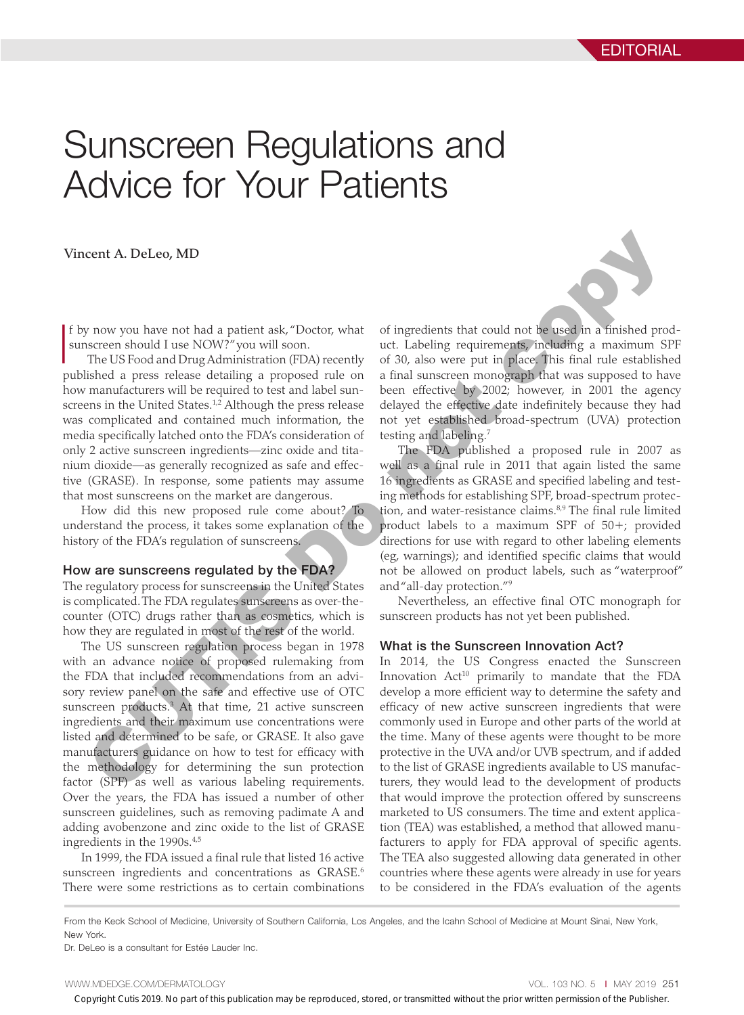# Sunscreen Regulations and Advice for Your Patients

Vincent A. DeLeo, MD

I f by now you have not had a patient ask, "Doctor, what sunscreen should I use NOW?" you will soon.

The US Food and Drug Administration (FDA) recently published a press release detailing a proposed rule on how manufacturers will be required to test and label sunscreens in the United States.<sup>1,2</sup> Although the press release was complicated and contained much information, the media specifically latched onto the FDA's consideration of only 2 active sunscreen ingredients—zinc oxide and titanium dioxide—as generally recognized as safe and effective (GRASE). In response, some patients may assume that most sunscreens on the market are dangerous.

How did this new proposed rule come about? To understand the process, it takes some explanation of the history of the FDA's regulation of sunscreens.

#### How are sunscreens regulated by the FDA?

The regulatory process for sunscreens in the United States is complicated. The FDA regulates sunscreens as over-thecounter (OTC) drugs rather than as cosmetics, which is how they are regulated in most of the rest of the world.

The US sunscreen regulation process began in 1978 with an advance notice of proposed rulemaking from the FDA that included recommendations from an advisory review panel on the safe and effective use of OTC sunscreen products.3 At that time, 21 active sunscreen ingredients and their maximum use concentrations were listed and determined to be safe, or GRASE. It also gave manufacturers guidance on how to test for efficacy with the methodology for determining the sun protection factor (SPF) as well as various labeling requirements. Over the years, the FDA has issued a number of other sunscreen guidelines, such as removing padimate A and adding avobenzone and zinc oxide to the list of GRASE ingredients in the 1990s.4,5

In 1999, the FDA issued a final rule that listed 16 active sunscreen ingredients and concentrations as GRASE.<sup>6</sup> There were some restrictions as to certain combinations

of ingredients that could not be used in a finished product. Labeling requirements, including a maximum SPF of 30, also were put in place. This final rule established a final sunscreen monograph that was supposed to have been effective by 2002; however, in 2001 the agency delayed the effective date indefinitely because they had not yet established broad-spectrum (UVA) protection testing and labeling.7

The FDA published a proposed rule in 2007 as well as a final rule in 2011 that again listed the same 16 ingredients as GRASE and specified labeling and testing methods for establishing SPF, broad-spectrum protection, and water-resistance claims.<sup>8,9</sup> The final rule limited product labels to a maximum SPF of 50+; provided directions for use with regard to other labeling elements (eg, warnings); and identified specific claims that would not be allowed on product labels, such as "waterproof" and "all-day protection."9 cent A. DeLeo, MD<br>
cent A. DeLeo, MD<br>
cent as a patient ask,"Doctor, what of ingredients that could not be used in a finished pro-<br>
inscreen should I use NOW?" you will soon.<br>
use the like the conduction of the symbol sma

Nevertheless, an effective final OTC monograph for sunscreen products has not yet been published.

## What is the Sunscreen Innovation Act?

In 2014, the US Congress enacted the Sunscreen Innovation Act<sup>10</sup> primarily to mandate that the FDA develop a more efficient way to determine the safety and efficacy of new active sunscreen ingredients that were commonly used in Europe and other parts of the world at the time. Many of these agents were thought to be more protective in the UVA and/or UVB spectrum, and if added to the list of GRASE ingredients available to US manufacturers, they would lead to the development of products that would improve the protection offered by sunscreens marketed to US consumers. The time and extent application (TEA) was established, a method that allowed manufacturers to apply for FDA approval of specific agents. The TEA also suggested allowing data generated in other countries where these agents were already in use for years to be considered in the FDA's evaluation of the agents

From the Keck School of Medicine, University of Southern California, Los Angeles, and the Icahn School of Medicine at Mount Sinai, New York, New York.

Dr. DeLeo is a consultant for Estée Lauder Inc.

WWW.MDEDGE.COM/DERMATOLOGY **Vol. 103 NO. 5 I MAY 2019 251** 

Copyright Cutis 2019. No part of this publication may be reproduced, stored, or transmitted without the prior written permission of the Publisher.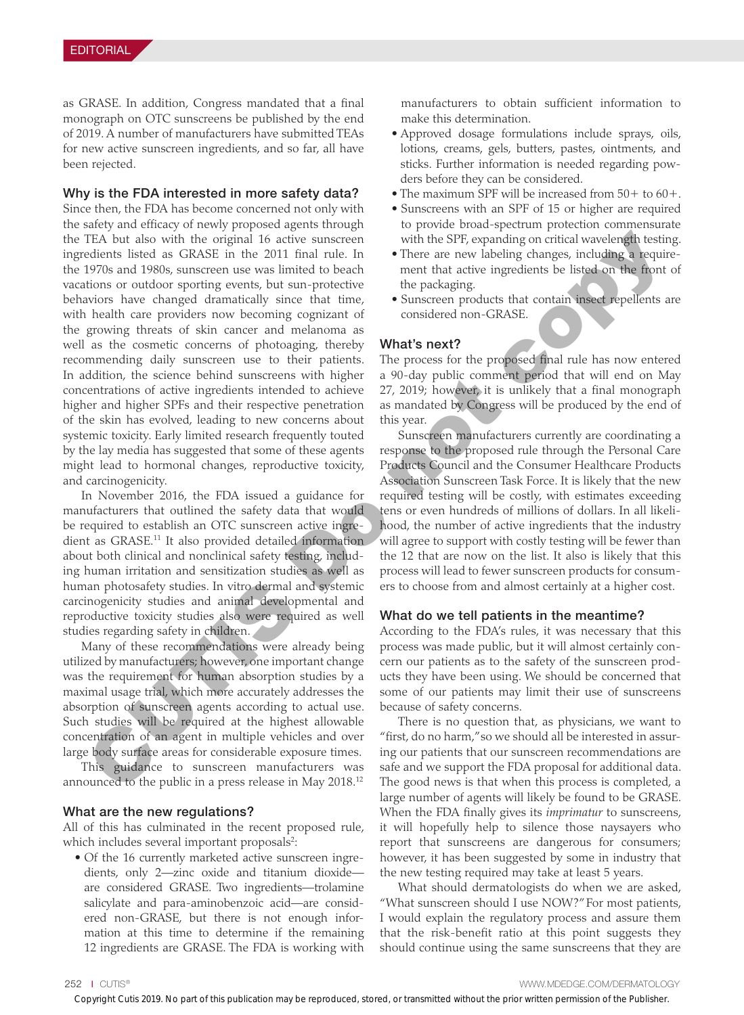as GRASE. In addition, Congress mandated that a final monograph on OTC sunscreens be published by the end of 2019. A number of manufacturers have submitted TEAs for new active sunscreen ingredients, and so far, all have been rejected.

# Why is the FDA interested in more safety data?

Since then, the FDA has become concerned not only with the safety and efficacy of newly proposed agents through the TEA but also with the original 16 active sunscreen ingredients listed as GRASE in the 2011 final rule. In the 1970s and 1980s, sunscreen use was limited to beach vacations or outdoor sporting events, but sun-protective behaviors have changed dramatically since that time, with health care providers now becoming cognizant of the growing threats of skin cancer and melanoma as well as the cosmetic concerns of photoaging, thereby recommending daily sunscreen use to their patients. In addition, the science behind sunscreens with higher concentrations of active ingredients intended to achieve higher and higher SPFs and their respective penetration of the skin has evolved, leading to new concerns about systemic toxicity. Early limited research frequently touted by the lay media has suggested that some of these agents might lead to hormonal changes, reproductive toxicity, and carcinogenicity. TDA but also with the original 18 cachies amoscorum<br>
That The TSTL coputation procedure from the secondary and the secondary of the secondary are stated as CRASE in the 2011 final mlc. In  $^{-1}$ There are new labeling charg

In November 2016, the FDA issued a guidance for manufacturers that outlined the safety data that would be required to establish an OTC sunscreen active ingredient as GRASE.<sup>11</sup> It also provided detailed information about both clinical and nonclinical safety testing, including human irritation and sensitization studies as well as human photosafety studies. In vitro dermal and systemic carcinogenicity studies and animal developmental and reproductive toxicity studies also were required as well studies regarding safety in children.

Many of these recommendations were already being utilized by manufacturers; however, one important change was the requirement for human absorption studies by a maximal usage trial, which more accurately addresses the absorption of sunscreen agents according to actual use. Such studies will be required at the highest allowable concentration of an agent in multiple vehicles and over large body surface areas for considerable exposure times.

This guidance to sunscreen manufacturers was announced to the public in a press release in May 2018.12

## What are the new regulations?

All of this has culminated in the recent proposed rule, which includes several important proposals<sup>2</sup>:

• Of the 16 currently marketed active sunscreen ingredients, only 2—zinc oxide and titanium dioxide are considered GRASE. Two ingredients—trolamine salicylate and para-aminobenzoic acid—are considered non-GRASE, but there is not enough information at this time to determine if the remaining 12 ingredients are GRASE. The FDA is working with manufacturers to obtain sufficient information to make this determination.

- Approved dosage formulations include sprays, oils, lotions, creams, gels, butters, pastes, ointments, and sticks. Further information is needed regarding powders before they can be considered.
- The maximum SPF will be increased from 50+ to 60+.
- Sunscreens with an SPF of 15 or higher are required to provide broad-spectrum protection commensurate with the SPF, expanding on critical wavelength testing.
- There are new labeling changes, including a requirement that active ingredients be listed on the front of the packaging.
- Sunscreen products that contain insect repellents are considered non-GRASE.

## What's next?

The process for the proposed final rule has now entered a 90-day public comment period that will end on May 27, 2019; however, it is unlikely that a final monograph as mandated by Congress will be produced by the end of this year.

Sunscreen manufacturers currently are coordinating a response to the proposed rule through the Personal Care Products Council and the Consumer Healthcare Products Association Sunscreen Task Force. It is likely that the new required testing will be costly, with estimates exceeding tens or even hundreds of millions of dollars. In all likelihood, the number of active ingredients that the industry will agree to support with costly testing will be fewer than the 12 that are now on the list. It also is likely that this process will lead to fewer sunscreen products for consumers to choose from and almost certainly at a higher cost.

## What do we tell patients in the meantime?

According to the FDA's rules, it was necessary that this process was made public, but it will almost certainly concern our patients as to the safety of the sunscreen products they have been using. We should be concerned that some of our patients may limit their use of sunscreens because of safety concerns.

There is no question that, as physicians, we want to "first, do no harm," so we should all be interested in assuring our patients that our sunscreen recommendations are safe and we support the FDA proposal for additional data. The good news is that when this process is completed, a large number of agents will likely be found to be GRASE. When the FDA finally gives its *imprimatur* to sunscreens, it will hopefully help to silence those naysayers who report that sunscreens are dangerous for consumers; however, it has been suggested by some in industry that the new testing required may take at least 5 years.

What should dermatologists do when we are asked, "What sunscreen should I use NOW?" For most patients, I would explain the regulatory process and assure them that the risk-benefit ratio at this point suggests they should continue using the same sunscreens that they are